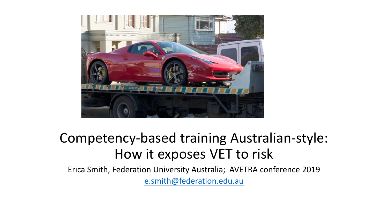

### Competency-based training Australian-style: How it exposes VET to risk

Erica Smith, Federation University Australia; AVETRA conference 2019 [e.smith@federation.edu.au](mailto:e.smith@federation.edu.au)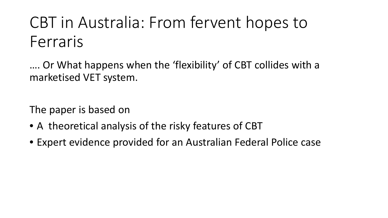# CBT in Australia: From fervent hopes to Ferraris

…. Or What happens when the 'flexibility' of CBT collides with a marketised VET system.

The paper is based on

- A theoretical analysis of the risky features of CBT
- Expert evidence provided for an Australian Federal Police case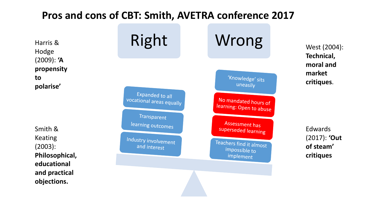#### **Pros and cons of CBT: Smith, AVETRA conference 2017**

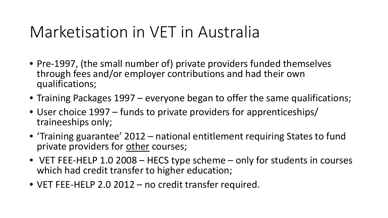### Marketisation in VET in Australia

- Pre-1997, (the small number of) private providers funded themselves through fees and/or employer contributions and had their own qualifications;
- Training Packages 1997 everyone began to offer the same qualifications;
- User choice 1997 funds to private providers for apprenticeships/ traineeships only;
- 'Training guarantee' 2012 national entitlement requiring States to fund private providers for other courses;
- VET FEE-HELP 1.0 2008 HECS type scheme only for students in courses which had credit transfer to higher education;
- VET FEE-HELP 2.0 2012 no credit transfer required.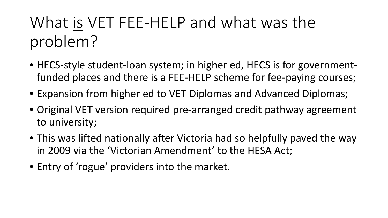# What is VET FEE-HELP and what was the problem?

- HECS-style student-loan system; in higher ed, HECS is for governmentfunded places and there is a FEE-HELP scheme for fee-paying courses;
- Expansion from higher ed to VET Diplomas and Advanced Diplomas;
- Original VET version required pre-arranged credit pathway agreement to university;
- This was lifted nationally after Victoria had so helpfully paved the way in 2009 via the 'Victorian Amendment' to the HESA Act;
- Entry of 'rogue' providers into the market.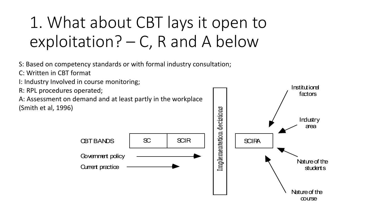# 1. What about CBT lays it open to exploitation? – C, R and A below

S: Based on competency standards or with formal industry consultation;

- C: Written in CBT format
- I: Industry Involved in course monitoring;
- R: RPL procedures operated;

A: Assessment on demand and at least partly in the workplace (Smith et al, 1996)

**Current practice** 



Institutional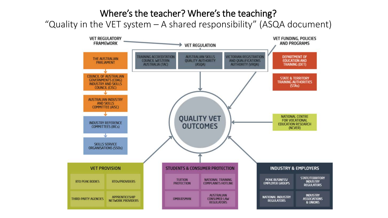#### Where's the teacher? Where's the teaching?

"Quality in the VET system – A shared responsibility" (ASQA document)

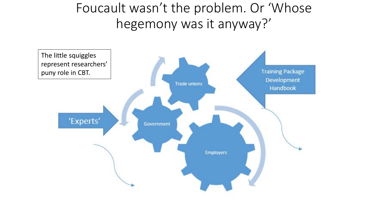Foucault wasn't the problem. Or 'Whose hegemony was it anyway?'

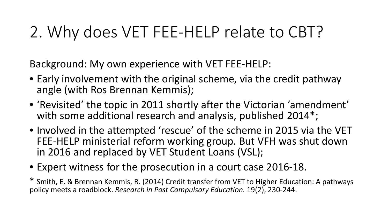## 2. Why does VET FEE-HELP relate to CBT?

Background: My own experience with VET FEE-HELP:

- Early involvement with the original scheme, via the credit pathway angle (with Ros Brennan Kemmis);
- 'Revisited' the topic in 2011 shortly after the Victorian 'amendment' with some additional research and analysis, published 2014\*;
- Involved in the attempted 'rescue' of the scheme in 2015 via the VET FEE-HELP ministerial reform working group. But VFH was shut down in 2016 and replaced by VET Student Loans (VSL);
- Expert witness for the prosecution in a court case 2016-18.

\* Smith, E. & Brennan Kemmis, R. (2014) Credit transfer from VET to Higher Education: A pathways policy meets a roadblock. *Research in Post Compulsory Education.* 19(2), 230-244.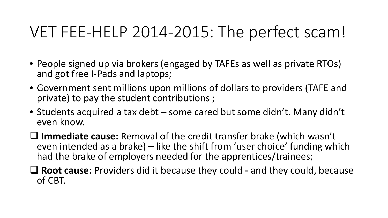## VET FEE-HELP 2014-2015: The perfect scam!

- People signed up via brokers (engaged by TAFEs as well as private RTOs) and got free I-Pads and laptops;
- Government sent millions upon millions of dollars to providers (TAFE and private) to pay the student contributions ;
- Students acquired a tax debt some cared but some didn't. Many didn't even know.
- **Immediate cause:** Removal of the credit transfer brake (which wasn't even intended as a brake) – like the shift from 'user choice' funding which had the brake of employers needed for the apprentices/trainees;
- **Root cause:** Providers did it because they could and they could, because of CBT.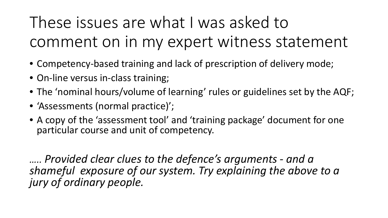These issues are what I was asked to comment on in my expert witness statement

- Competency-based training and lack of prescription of delivery mode;
- On-line versus in-class training;
- The 'nominal hours/volume of learning' rules or guidelines set by the AQF;
- 'Assessments (normal practice)';
- A copy of the 'assessment tool' and 'training package' document for one particular course and unit of competency.

*….. Provided clear clues to the defence's arguments - and a shameful exposure of our system. Try explaining the above to a jury of ordinary people.*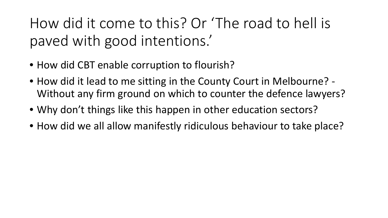How did it come to this? Or 'The road to hell is paved with good intentions.'

- How did CBT enable corruption to flourish?
- How did it lead to me sitting in the County Court in Melbourne? Without any firm ground on which to counter the defence lawyers?
- Why don't things like this happen in other education sectors?
- How did we all allow manifestly ridiculous behaviour to take place?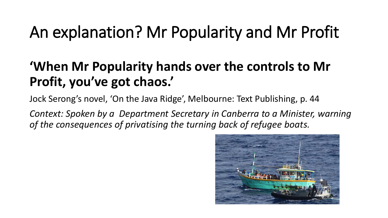# An explanation? Mr Popularity and Mr Profit

### **'When Mr Popularity hands over the controls to Mr Profit, you've got chaos.'**

Jock Serong's novel, 'On the Java Ridge', Melbourne: Text Publishing, p. 44

*Context: Spoken by a Department Secretary in Canberra to a Minister, warning of the consequences of privatising the turning back of refugee boats.*